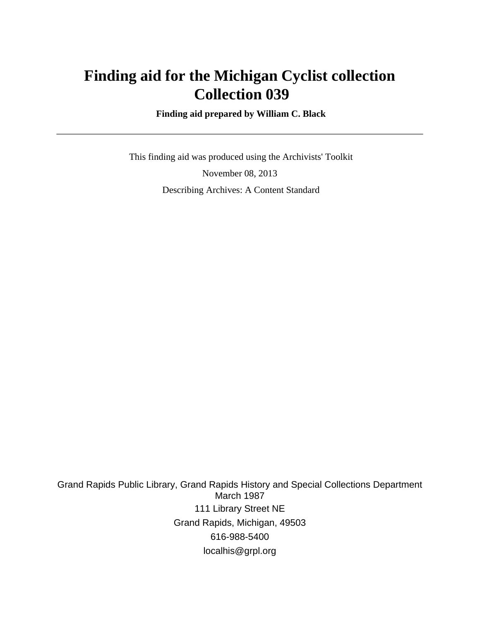## **Finding aid for the Michigan Cyclist collection Collection 039**

 **Finding aid prepared by William C. Black**

 This finding aid was produced using the Archivists' Toolkit November 08, 2013 Describing Archives: A Content Standard

Grand Rapids Public Library, Grand Rapids History and Special Collections Department March 1987 111 Library Street NE Grand Rapids, Michigan, 49503 616-988-5400 localhis@grpl.org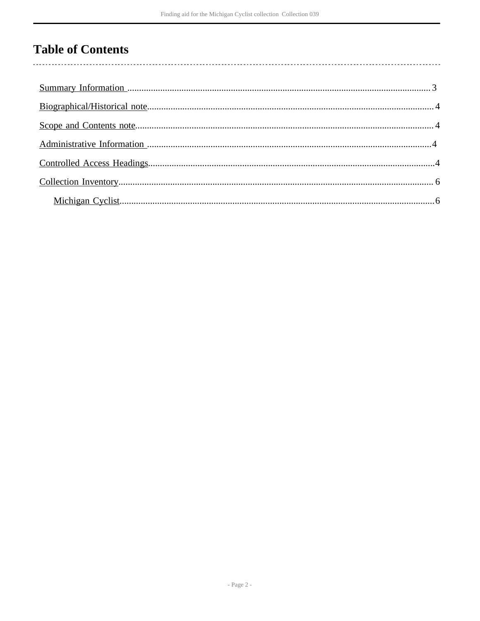## **Table of Contents**

 $\overline{\phantom{a}}$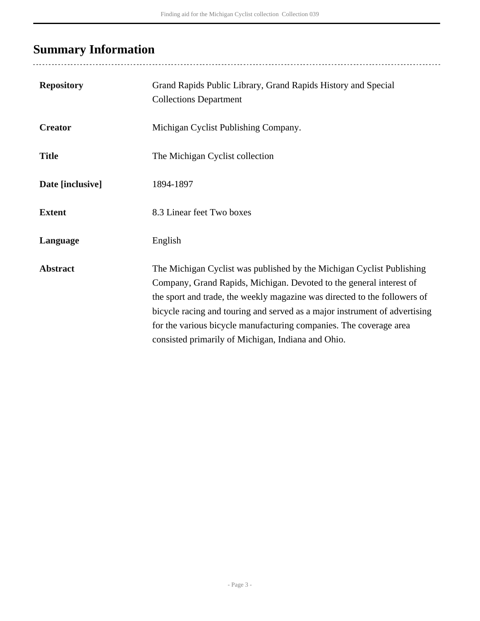# <span id="page-2-0"></span>**Summary Information**

| <b>Repository</b> | Grand Rapids Public Library, Grand Rapids History and Special<br><b>Collections Department</b>                                                                                                                                                                                                                                                                                                                                      |
|-------------------|-------------------------------------------------------------------------------------------------------------------------------------------------------------------------------------------------------------------------------------------------------------------------------------------------------------------------------------------------------------------------------------------------------------------------------------|
| <b>Creator</b>    | Michigan Cyclist Publishing Company.                                                                                                                                                                                                                                                                                                                                                                                                |
| <b>Title</b>      | The Michigan Cyclist collection                                                                                                                                                                                                                                                                                                                                                                                                     |
| Date [inclusive]  | 1894-1897                                                                                                                                                                                                                                                                                                                                                                                                                           |
| <b>Extent</b>     | 8.3 Linear feet Two boxes                                                                                                                                                                                                                                                                                                                                                                                                           |
| Language          | English                                                                                                                                                                                                                                                                                                                                                                                                                             |
| <b>Abstract</b>   | The Michigan Cyclist was published by the Michigan Cyclist Publishing<br>Company, Grand Rapids, Michigan. Devoted to the general interest of<br>the sport and trade, the weekly magazine was directed to the followers of<br>bicycle racing and touring and served as a major instrument of advertising<br>for the various bicycle manufacturing companies. The coverage area<br>consisted primarily of Michigan, Indiana and Ohio. |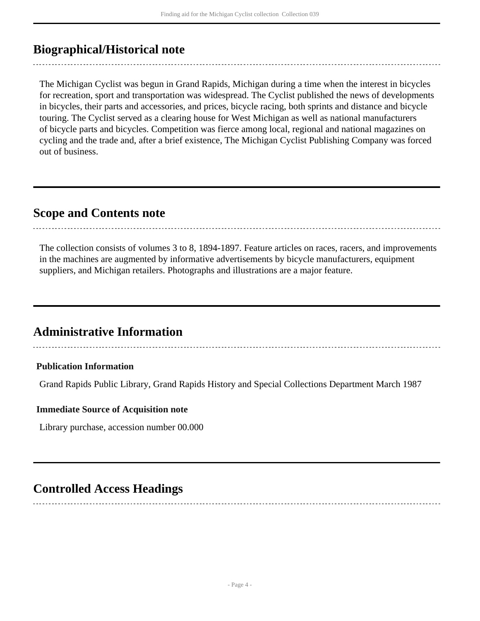## <span id="page-3-0"></span>**Biographical/Historical note**

The Michigan Cyclist was begun in Grand Rapids, Michigan during a time when the interest in bicycles for recreation, sport and transportation was widespread. The Cyclist published the news of developments in bicycles, their parts and accessories, and prices, bicycle racing, both sprints and distance and bicycle touring. The Cyclist served as a clearing house for West Michigan as well as national manufacturers of bicycle parts and bicycles. Competition was fierce among local, regional and national magazines on cycling and the trade and, after a brief existence, The Michigan Cyclist Publishing Company was forced out of business.

### <span id="page-3-1"></span>**Scope and Contents note**

The collection consists of volumes 3 to 8, 1894-1897. Feature articles on races, racers, and improvements in the machines are augmented by informative advertisements by bicycle manufacturers, equipment suppliers, and Michigan retailers. Photographs and illustrations are a major feature.

### <span id="page-3-2"></span>**Administrative Information**

#### **Publication Information**

Grand Rapids Public Library, Grand Rapids History and Special Collections Department March 1987

#### **Immediate Source of Acquisition note**

Library purchase, accession number 00.000

## <span id="page-3-3"></span>**Controlled Access Headings**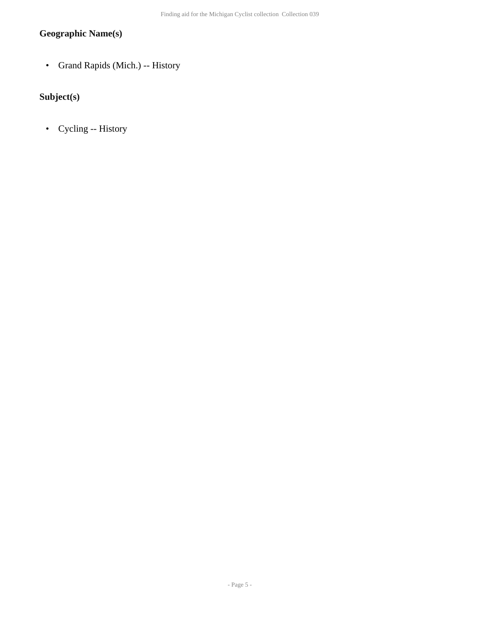### **Geographic Name(s)**

• Grand Rapids (Mich.) -- History

### **Subject(s)**

• Cycling -- History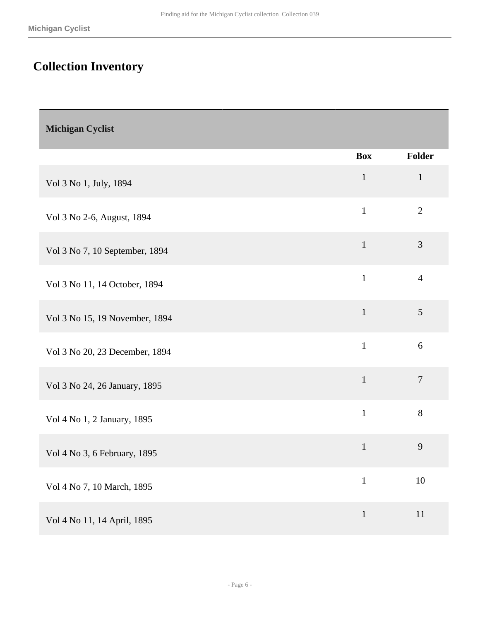# <span id="page-5-0"></span>**Collection Inventory**

<span id="page-5-1"></span>

| <b>Michigan Cyclist</b>        |              |                |
|--------------------------------|--------------|----------------|
|                                | <b>Box</b>   | Folder         |
| Vol 3 No 1, July, 1894         | $\mathbf 1$  | $\mathbf{1}$   |
| Vol 3 No 2-6, August, 1894     | $\mathbf{1}$ | $\mathbf{2}$   |
| Vol 3 No 7, 10 September, 1894 | $\mathbf{1}$ | $\mathfrak{Z}$ |
| Vol 3 No 11, 14 October, 1894  | $\mathbf{1}$ | $\overline{4}$ |
| Vol 3 No 15, 19 November, 1894 | $\mathbf{1}$ | 5              |
| Vol 3 No 20, 23 December, 1894 | $\mathbf{1}$ | 6              |
| Vol 3 No 24, 26 January, 1895  | $\mathbf{1}$ | $\tau$         |
| Vol 4 No 1, 2 January, 1895    | $\mathbf{1}$ | $8\,$          |
| Vol 4 No 3, 6 February, 1895   | $\mathbf{1}$ | 9              |
| Vol 4 No 7, 10 March, 1895     | $\mathbf{1}$ | $10\,$         |
| Vol 4 No 11, 14 April, 1895    | $\mathbf{1}$ | $11\,$         |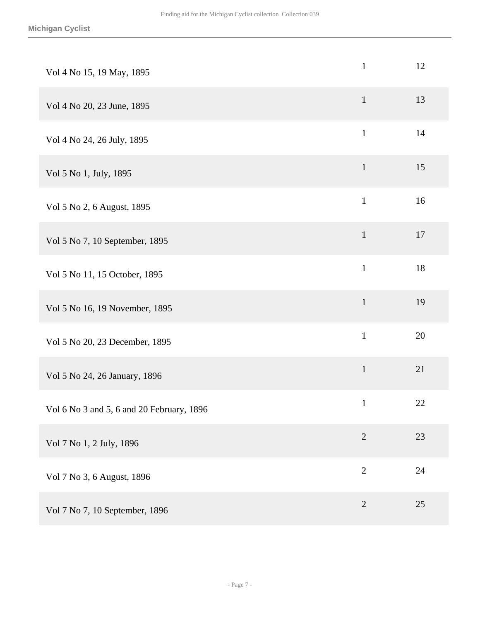| Vol 4 No 15, 19 May, 1895                 | $\mathbf{1}$   | 12     |
|-------------------------------------------|----------------|--------|
| Vol 4 No 20, 23 June, 1895                | $\mathbf{1}$   | 13     |
| Vol 4 No 24, 26 July, 1895                | $\mathbf{1}$   | 14     |
| Vol 5 No 1, July, 1895                    | $\mathbf{1}$   | 15     |
| Vol 5 No 2, 6 August, 1895                | $\mathbf{1}$   | 16     |
| Vol 5 No 7, 10 September, 1895            | $\mathbf{1}$   | 17     |
| Vol 5 No 11, 15 October, 1895             | $\mathbf{1}$   | 18     |
| Vol 5 No 16, 19 November, 1895            | $\mathbf 1$    | 19     |
| Vol 5 No 20, 23 December, 1895            | $\mathbf{1}$   | 20     |
| Vol 5 No 24, 26 January, 1896             | $\mathbf 1$    | 21     |
| Vol 6 No 3 and 5, 6 and 20 February, 1896 | $\mathbf{1}$   | $22\,$ |
| Vol 7 No 1, 2 July, 1896                  | $\mathbf{2}$   | 23     |
| Vol 7 No 3, 6 August, 1896                | $\mathbf{2}$   | 24     |
| Vol 7 No 7, 10 September, 1896            | $\overline{2}$ | 25     |